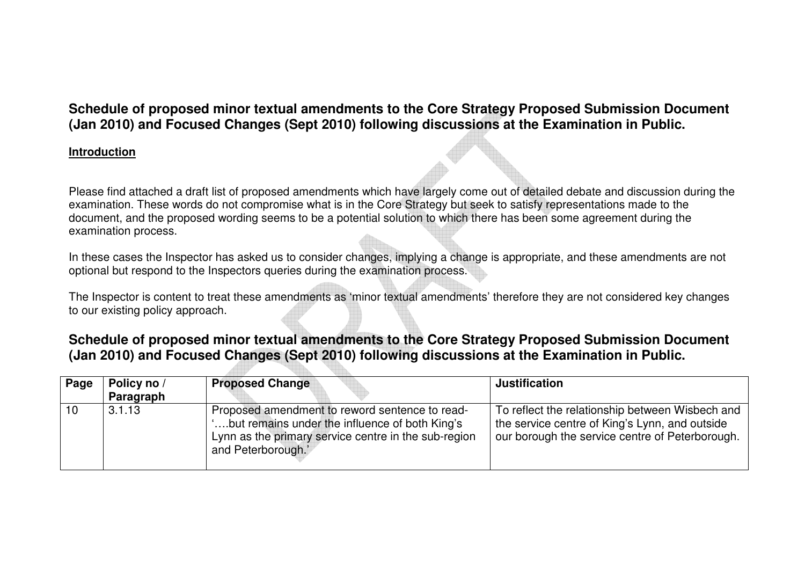## **Schedule of proposed minor textual amendments to the Core Strategy Proposed Submission Document (Jan 2010) and Focused Changes (Sept 2010) following discussions at the Examination in Public.**

#### **Introduction**

Please find attached a draft list of proposed amendments which have largely come out of detailed debate and discussion during the examination. These words do not compromise what is in the Core Strategy but seek to satisfy representations made to the document, and the proposed wording seems to be a potential solution to which there has been some agreement during the examination process.

In these cases the Inspector has asked us to consider changes, implying a change is appropriate, and these amendments are not optional but respond to the Inspectors queries during the examination process.

The Inspector is content to treat these amendments as 'minor textual amendments' therefore they are not considered key changes to our existing policy approach.

# **Schedule of proposed minor textual amendments to the Core Strategy Proposed Submission Document (Jan 2010) and Focused Changes (Sept 2010) following discussions at the Examination in Public.**

| Page | Policy no /<br>Paragraph | <b>Proposed Change</b>                                                                                                                                                          | <b>Justification</b>                                                                                                                                 |
|------|--------------------------|---------------------------------------------------------------------------------------------------------------------------------------------------------------------------------|------------------------------------------------------------------------------------------------------------------------------------------------------|
| 10   | 3.1.13                   | Proposed amendment to reword sentence to read-<br>'but remains under the influence of both King's<br>Lynn as the primary service centre in the sub-region<br>and Peterborough.' | To reflect the relationship between Wisbech and<br>the service centre of King's Lynn, and outside<br>our borough the service centre of Peterborough. |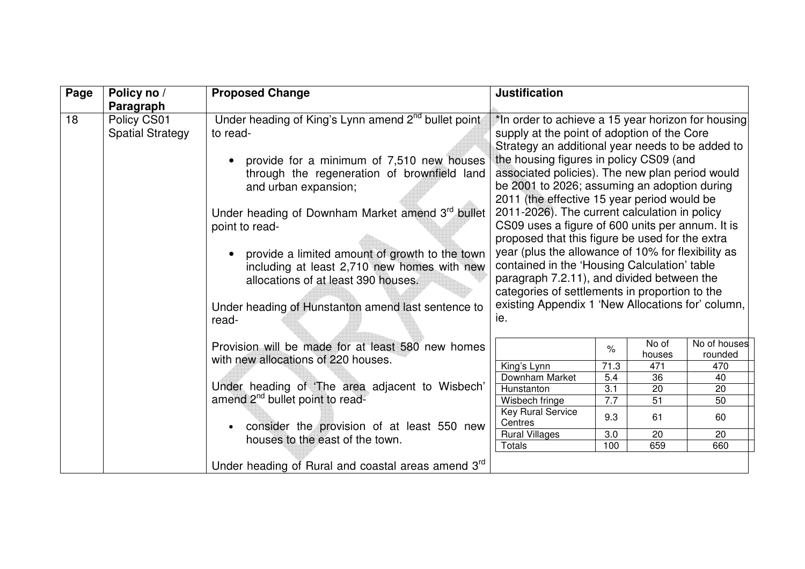| Page | Policy no /                                         | <b>Proposed Change</b>                                                                                                                                                                                                                                                                                                                                                                                                                                                       | <b>Justification</b>                                                                                                                                                                                                                                                                                                                                                                                                                                                                                                                                                                                                                                                                                                                                                         |
|------|-----------------------------------------------------|------------------------------------------------------------------------------------------------------------------------------------------------------------------------------------------------------------------------------------------------------------------------------------------------------------------------------------------------------------------------------------------------------------------------------------------------------------------------------|------------------------------------------------------------------------------------------------------------------------------------------------------------------------------------------------------------------------------------------------------------------------------------------------------------------------------------------------------------------------------------------------------------------------------------------------------------------------------------------------------------------------------------------------------------------------------------------------------------------------------------------------------------------------------------------------------------------------------------------------------------------------------|
| 18   | Paragraph<br>Policy CS01<br><b>Spatial Strategy</b> | Under heading of King's Lynn amend 2 <sup>nd</sup> bullet point<br>to read-<br>provide for a minimum of 7,510 new houses<br>through the regeneration of brownfield land<br>and urban expansion;<br>Under heading of Downham Market amend 3rd bullet<br>point to read-<br>provide a limited amount of growth to the town<br>including at least 2,710 new homes with new<br>allocations of at least 390 houses.<br>Under heading of Hunstanton amend last sentence to<br>read- | *In order to achieve a 15 year horizon for housing<br>supply at the point of adoption of the Core<br>Strategy an additional year needs to be added to<br>the housing figures in policy CS09 (and<br>associated policies). The new plan period would<br>be 2001 to 2026; assuming an adoption during<br>2011 (the effective 15 year period would be<br>2011-2026). The current calculation in policy<br>CS09 uses a figure of 600 units per annum. It is<br>proposed that this figure be used for the extra<br>year (plus the allowance of 10% for flexibility as<br>contained in the 'Housing Calculation' table<br>paragraph 7.2.11), and divided between the<br>categories of settlements in proportion to the<br>existing Appendix 1 'New Allocations for' column,<br>ie. |
|      |                                                     | Provision will be made for at least 580 new homes<br>with new allocations of 220 houses.                                                                                                                                                                                                                                                                                                                                                                                     | No of houses<br>No of<br>%<br>rounded<br>houses<br>King's Lynn<br>71.3<br>471<br>470                                                                                                                                                                                                                                                                                                                                                                                                                                                                                                                                                                                                                                                                                         |
|      |                                                     | Under heading of 'The area adjacent to Wisbech'                                                                                                                                                                                                                                                                                                                                                                                                                              | Downham Market<br>5.4<br>36<br>40                                                                                                                                                                                                                                                                                                                                                                                                                                                                                                                                                                                                                                                                                                                                            |
|      |                                                     | amend 2 <sup>nd</sup> bullet point to read-                                                                                                                                                                                                                                                                                                                                                                                                                                  | 3.1<br>Hunstanton<br>20<br>20<br>7.7<br>Wisbech fringe<br>51<br>50                                                                                                                                                                                                                                                                                                                                                                                                                                                                                                                                                                                                                                                                                                           |
|      |                                                     |                                                                                                                                                                                                                                                                                                                                                                                                                                                                              | <b>Key Rural Service</b><br>9.3<br>61<br>60<br>Centres                                                                                                                                                                                                                                                                                                                                                                                                                                                                                                                                                                                                                                                                                                                       |
|      |                                                     | consider the provision of at least 550 new<br>houses to the east of the town.                                                                                                                                                                                                                                                                                                                                                                                                | <b>Rural Villages</b><br>3.0<br>20<br>20<br><b>Totals</b><br>100<br>659<br>660                                                                                                                                                                                                                                                                                                                                                                                                                                                                                                                                                                                                                                                                                               |
|      |                                                     | Under heading of Rural and coastal areas amend 3rd                                                                                                                                                                                                                                                                                                                                                                                                                           |                                                                                                                                                                                                                                                                                                                                                                                                                                                                                                                                                                                                                                                                                                                                                                              |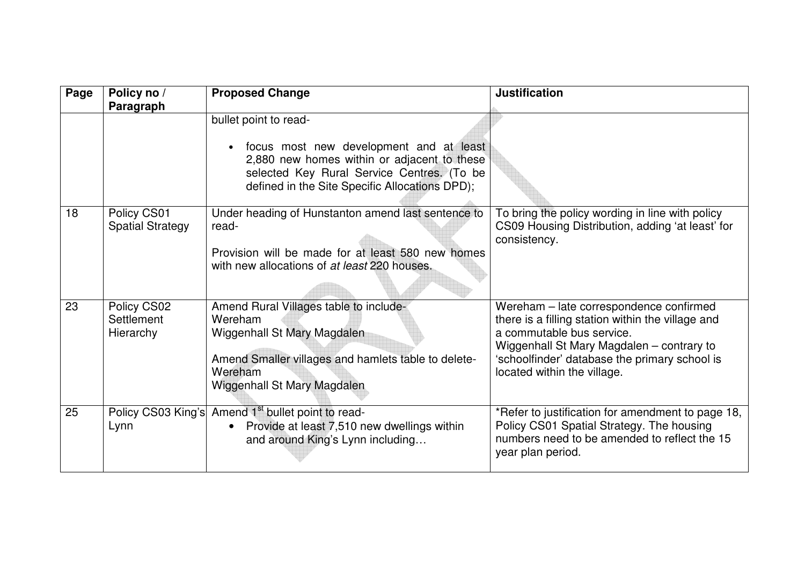| Page | Policy no /<br>Paragraph                      | <b>Proposed Change</b>                                                                                                                                                                                                       | <b>Justification</b>                                                                                                                                                                                                                                   |
|------|-----------------------------------------------|------------------------------------------------------------------------------------------------------------------------------------------------------------------------------------------------------------------------------|--------------------------------------------------------------------------------------------------------------------------------------------------------------------------------------------------------------------------------------------------------|
|      |                                               | bullet point to read-<br>focus most new development and at least<br>$\bullet$<br>2,880 new homes within or adjacent to these<br>selected Key Rural Service Centres. (To be<br>defined in the Site Specific Allocations DPD); |                                                                                                                                                                                                                                                        |
| 18   | Policy CS01<br><b>Spatial Strategy</b>        | Under heading of Hunstanton amend last sentence to<br>read-<br>Provision will be made for at least 580 new homes<br>with new allocations of at least 220 houses.                                                             | To bring the policy wording in line with policy<br>CS09 Housing Distribution, adding 'at least' for<br>consistency.                                                                                                                                    |
| 23   | Policy CS02<br><b>Settlement</b><br>Hierarchy | Amend Rural Villages table to include-<br>Wereham<br>Wiggenhall St Mary Magdalen<br>Amend Smaller villages and hamlets table to delete-<br>Wereham<br>Wiggenhall St Mary Magdalen                                            | Wereham - late correspondence confirmed<br>there is a filling station within the village and<br>a commutable bus service.<br>Wiggenhall St Mary Magdalen - contrary to<br>'schoolfinder' database the primary school is<br>located within the village. |
| 25   | Lynn                                          | Policy CS03 King's Amend 1 <sup>st</sup> bullet point to read-<br>Provide at least 7,510 new dwellings within<br>$\bullet$<br>and around King's Lynn including                                                               | *Refer to justification for amendment to page 18,<br>Policy CS01 Spatial Strategy. The housing<br>numbers need to be amended to reflect the 15<br>year plan period.                                                                                    |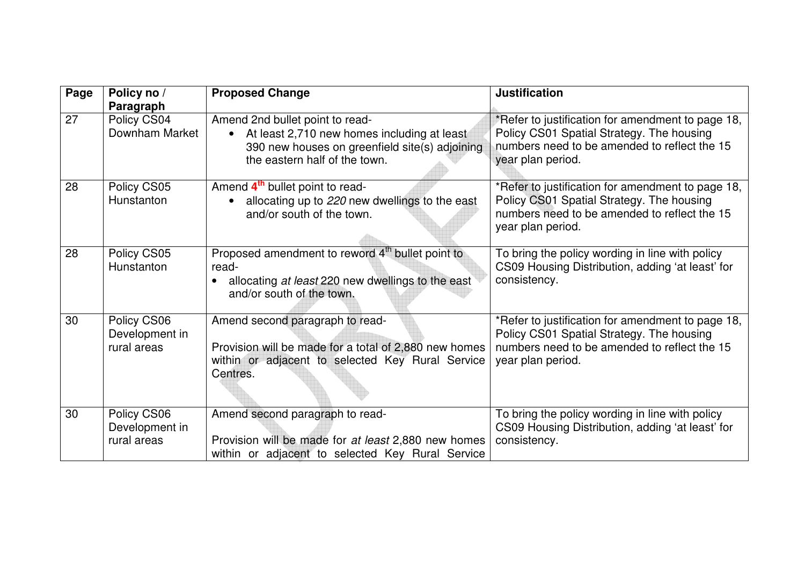| Page            | Policy no /<br>Paragraph                     | <b>Proposed Change</b>                                                                                                                                                         | <b>Justification</b>                                                                                                                                                |
|-----------------|----------------------------------------------|--------------------------------------------------------------------------------------------------------------------------------------------------------------------------------|---------------------------------------------------------------------------------------------------------------------------------------------------------------------|
| $\overline{27}$ | Policy CS04<br>Downham Market                | Amend 2nd bullet point to read-<br>At least 2,710 new homes including at least<br>$\bullet$<br>390 new houses on greenfield site(s) adjoining<br>the eastern half of the town. | *Refer to justification for amendment to page 18,<br>Policy CS01 Spatial Strategy. The housing<br>numbers need to be amended to reflect the 15<br>year plan period. |
| 28              | Policy CS05<br>Hunstanton                    | Amend 4 <sup>th</sup> bullet point to read-<br>allocating up to 220 new dwellings to the east<br>and/or south of the town.                                                     | *Refer to justification for amendment to page 18,<br>Policy CS01 Spatial Strategy. The housing<br>numbers need to be amended to reflect the 15<br>year plan period. |
| 28              | Policy CS05<br>Hunstanton                    | Proposed amendment to reword 4 <sup>th</sup> bullet point to<br>read-<br>allocating at least 220 new dwellings to the east<br>and/or south of the town.                        | To bring the policy wording in line with policy<br>CS09 Housing Distribution, adding 'at least' for<br>consistency.                                                 |
| 30              | Policy CS06<br>Development in<br>rural areas | Amend second paragraph to read-<br>Provision will be made for a total of 2,880 new homes<br>within or adjacent to selected Key Rural Service<br>Centres.                       | *Refer to justification for amendment to page 18,<br>Policy CS01 Spatial Strategy. The housing<br>numbers need to be amended to reflect the 15<br>year plan period. |
| 30              | Policy CS06<br>Development in<br>rural areas | Amend second paragraph to read-<br>Provision will be made for at least 2,880 new homes<br>within or adjacent to selected Key Rural Service                                     | To bring the policy wording in line with policy<br>CS09 Housing Distribution, adding 'at least' for<br>consistency.                                                 |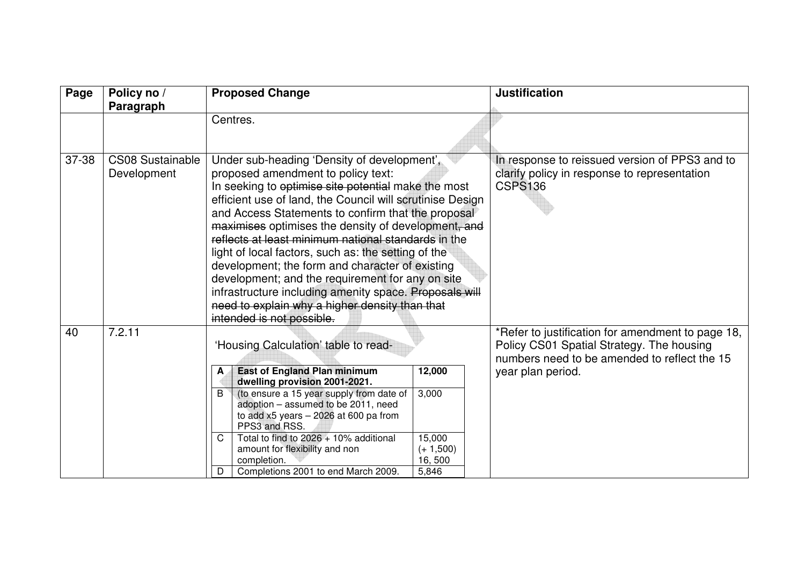| Page  | Policy no /<br>Paragraph               |        | <b>Proposed Change</b>                                                                                                                                                                                                                                                                                                                                                                                                                                                                                                                                                                                                                                                           |                                          | <b>Justification</b>                                                                                                                           |
|-------|----------------------------------------|--------|----------------------------------------------------------------------------------------------------------------------------------------------------------------------------------------------------------------------------------------------------------------------------------------------------------------------------------------------------------------------------------------------------------------------------------------------------------------------------------------------------------------------------------------------------------------------------------------------------------------------------------------------------------------------------------|------------------------------------------|------------------------------------------------------------------------------------------------------------------------------------------------|
|       |                                        |        | Centres.                                                                                                                                                                                                                                                                                                                                                                                                                                                                                                                                                                                                                                                                         |                                          |                                                                                                                                                |
| 37-38 | <b>CS08 Sustainable</b><br>Development |        | Under sub-heading 'Density of development',<br>proposed amendment to policy text:<br>In seeking to optimise site potential make the most<br>efficient use of land, the Council will scrutinise Design<br>and Access Statements to confirm that the proposal<br>maximises optimises the density of development, and<br>reflects at least minimum national standards in the<br>light of local factors, such as: the setting of the<br>development; the form and character of existing<br>development; and the requirement for any on site<br>infrastructure including amenity space. Proposals will<br>need to explain why a higher density than that<br>intended is not possible. |                                          | In response to reissued version of PPS3 and to<br>clarify policy in response to representation<br><b>CSPS136</b>                               |
| 40    | 7.2.11                                 |        | 'Housing Calculation' table to read-                                                                                                                                                                                                                                                                                                                                                                                                                                                                                                                                                                                                                                             |                                          | *Refer to justification for amendment to page 18,<br>Policy CS01 Spatial Strategy. The housing<br>numbers need to be amended to reflect the 15 |
|       |                                        | A      | <b>East of England Plan minimum</b><br>dwelling provision 2001-2021.                                                                                                                                                                                                                                                                                                                                                                                                                                                                                                                                                                                                             | 12,000                                   | year plan period.                                                                                                                              |
|       |                                        | B      | (to ensure a 15 year supply from date of<br>adoption - assumed to be 2011, need<br>to add $x5$ years $-2026$ at 600 pa from<br>PPS3 and RSS.                                                                                                                                                                                                                                                                                                                                                                                                                                                                                                                                     | 3,000                                    |                                                                                                                                                |
|       |                                        | C<br>D | Total to find to 2026 + 10% additional<br>amount for flexibility and non<br>completion.<br>Completions 2001 to end March 2009.                                                                                                                                                                                                                                                                                                                                                                                                                                                                                                                                                   | 15,000<br>$(+ 1,500)$<br>16,500<br>5,846 |                                                                                                                                                |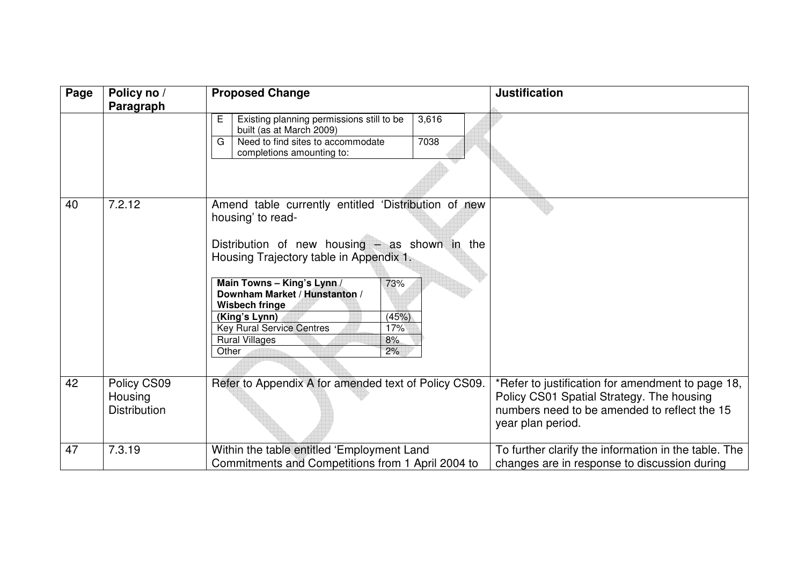| Page | Policy no /                                   | <b>Proposed Change</b>                                                                                                                                                                                                                                                                                                                                                            | <b>Justification</b>                                                                                                                                                |
|------|-----------------------------------------------|-----------------------------------------------------------------------------------------------------------------------------------------------------------------------------------------------------------------------------------------------------------------------------------------------------------------------------------------------------------------------------------|---------------------------------------------------------------------------------------------------------------------------------------------------------------------|
|      | Paragraph                                     |                                                                                                                                                                                                                                                                                                                                                                                   |                                                                                                                                                                     |
|      |                                               | Existing planning permissions still to be<br>3,616<br>Е<br>built (as at March 2009)<br>Need to find sites to accommodate<br>G<br>7038<br>completions amounting to:                                                                                                                                                                                                                |                                                                                                                                                                     |
| 40   | 7.2.12                                        | Amend table currently entitled 'Distribution of new<br>housing' to read-<br>Distribution of new housing $-$ as shown in the<br>Housing Trajectory table in Appendix 1.<br>Main Towns - King's Lynn /<br>73%<br>Downham Market / Hunstanton /<br>Wisbech fringe<br>(King's Lynn)<br>(45%)<br><b>Key Rural Service Centres</b><br>17%<br><b>Rural Villages</b><br>8%<br>Other<br>2% |                                                                                                                                                                     |
| 42   | Policy CS09<br>Housing<br><b>Distribution</b> | Refer to Appendix A for amended text of Policy CS09.                                                                                                                                                                                                                                                                                                                              | *Refer to justification for amendment to page 18,<br>Policy CS01 Spatial Strategy. The housing<br>numbers need to be amended to reflect the 15<br>year plan period. |
| 47   | 7.3.19                                        | Within the table entitled 'Employment Land<br>Commitments and Competitions from 1 April 2004 to                                                                                                                                                                                                                                                                                   | To further clarify the information in the table. The<br>changes are in response to discussion during                                                                |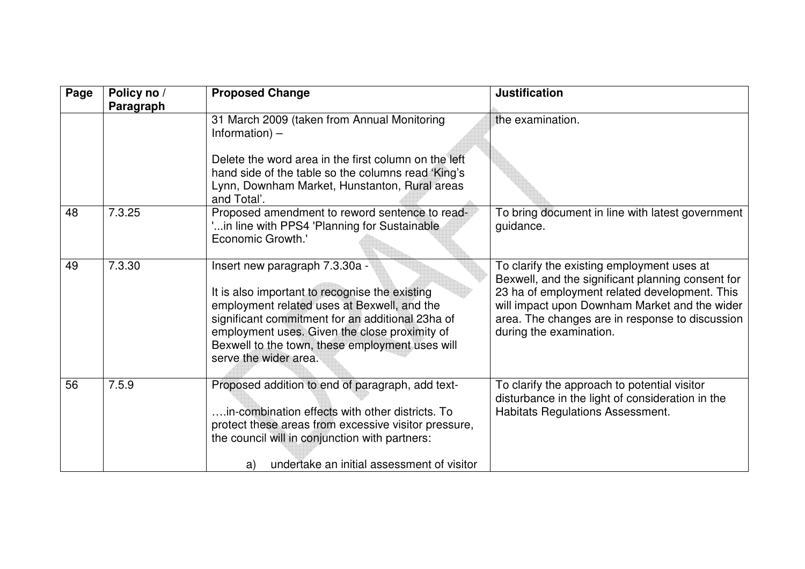| Page | Policy no /<br>Paragraph | <b>Proposed Change</b>                                                                                                                                                                                                                                                                                           | <b>Justification</b>                                                                                                                                                                                                                                                            |
|------|--------------------------|------------------------------------------------------------------------------------------------------------------------------------------------------------------------------------------------------------------------------------------------------------------------------------------------------------------|---------------------------------------------------------------------------------------------------------------------------------------------------------------------------------------------------------------------------------------------------------------------------------|
|      |                          | 31 March 2009 (taken from Annual Monitoring<br>Information) $-$<br>Delete the word area in the first column on the left<br>hand side of the table so the columns read 'King's<br>Lynn, Downham Market, Hunstanton, Rural areas<br>and Total'.                                                                    | the examination.                                                                                                                                                                                                                                                                |
| 48   | 7.3.25                   | Proposed amendment to reword sentence to read-<br>in line with PPS4 'Planning for Sustainable'<br>Economic Growth.'                                                                                                                                                                                              | To bring document in line with latest government<br>guidance.                                                                                                                                                                                                                   |
| 49   | 7.3.30                   | Insert new paragraph 7.3.30a -<br>It is also important to recognise the existing<br>employment related uses at Bexwell, and the<br>significant commitment for an additional 23ha of<br>employment uses. Given the close proximity of<br>Bexwell to the town, these employment uses will<br>serve the wider area. | To clarify the existing employment uses at<br>Bexwell, and the significant planning consent for<br>23 ha of employment related development. This<br>will impact upon Downham Market and the wider<br>area. The changes are in response to discussion<br>during the examination. |
| 56   | 7.5.9                    | Proposed addition to end of paragraph, add text-<br>in-combination effects with other districts. To<br>protect these areas from excessive visitor pressure,<br>the council will in conjunction with partners:<br>undertake an initial assessment of visitor<br>a)                                                | To clarify the approach to potential visitor<br>disturbance in the light of consideration in the<br><b>Habitats Regulations Assessment.</b>                                                                                                                                     |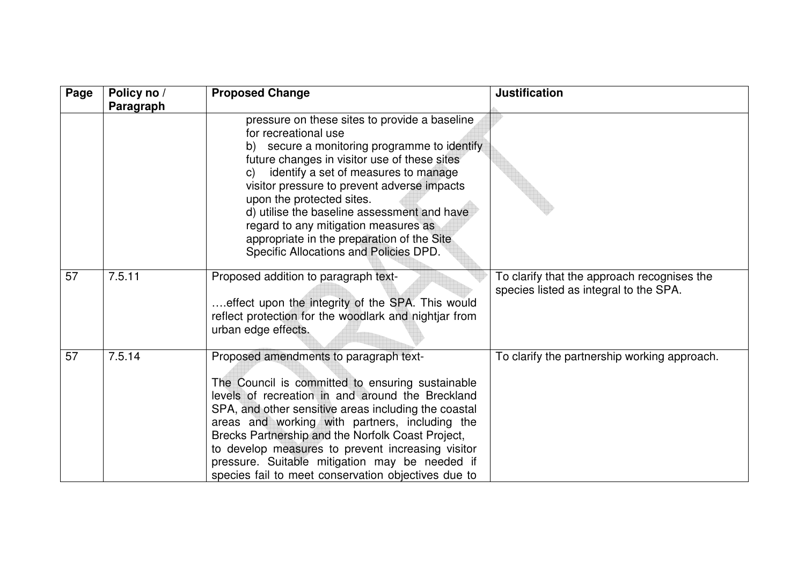| Page | Policy no /<br>Paragraph | <b>Proposed Change</b>                                                                                                                                                                                                                                                                                                                                                                                                                                                         | <b>Justification</b>                                                                  |
|------|--------------------------|--------------------------------------------------------------------------------------------------------------------------------------------------------------------------------------------------------------------------------------------------------------------------------------------------------------------------------------------------------------------------------------------------------------------------------------------------------------------------------|---------------------------------------------------------------------------------------|
|      |                          | pressure on these sites to provide a baseline<br>for recreational use<br>b) secure a monitoring programme to identify<br>future changes in visitor use of these sites<br>identify a set of measures to manage<br>C)<br>visitor pressure to prevent adverse impacts<br>upon the protected sites.<br>d) utilise the baseline assessment and have<br>regard to any mitigation measures as<br>appropriate in the preparation of the Site<br>Specific Allocations and Policies DPD. |                                                                                       |
| 57   | 7.5.11                   | Proposed addition to paragraph text-<br>effect upon the integrity of the SPA. This would<br>reflect protection for the woodlark and nightjar from<br>urban edge effects.                                                                                                                                                                                                                                                                                                       | To clarify that the approach recognises the<br>species listed as integral to the SPA. |
| 57   | 7.5.14                   | Proposed amendments to paragraph text-<br>The Council is committed to ensuring sustainable<br>levels of recreation in and around the Breckland<br>SPA, and other sensitive areas including the coastal<br>areas and working with partners, including the<br>Brecks Partnership and the Norfolk Coast Project,<br>to develop measures to prevent increasing visitor<br>pressure. Suitable mitigation may be needed if<br>species fail to meet conservation objectives due to    | To clarify the partnership working approach.                                          |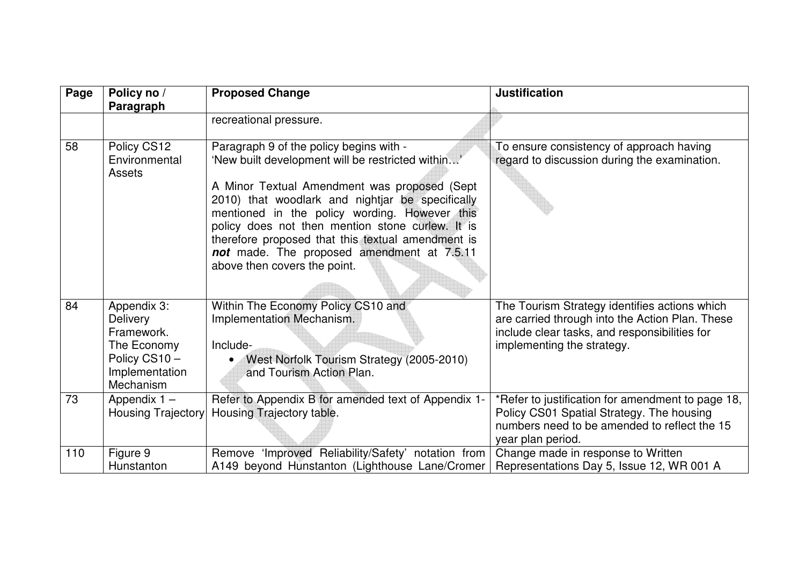| Page | Policy no /<br>Paragraph                                                                            | <b>Proposed Change</b>                                                                                                                                                                                                                                                                                                                                                                                                                   | <b>Justification</b>                                                                                                                                                            |
|------|-----------------------------------------------------------------------------------------------------|------------------------------------------------------------------------------------------------------------------------------------------------------------------------------------------------------------------------------------------------------------------------------------------------------------------------------------------------------------------------------------------------------------------------------------------|---------------------------------------------------------------------------------------------------------------------------------------------------------------------------------|
|      |                                                                                                     | recreational pressure.                                                                                                                                                                                                                                                                                                                                                                                                                   |                                                                                                                                                                                 |
| 58   | Policy CS12<br>Environmental<br>Assets                                                              | Paragraph 9 of the policy begins with -<br>'New built development will be restricted within'<br>A Minor Textual Amendment was proposed (Sept<br>2010) that woodlark and nightjar be specifically<br>mentioned in the policy wording. However this<br>policy does not then mention stone curlew. It is<br>therefore proposed that this textual amendment is<br>not made. The proposed amendment at 7.5.11<br>above then covers the point. | To ensure consistency of approach having<br>regard to discussion during the examination.                                                                                        |
| 84   | Appendix 3:<br>Delivery<br>Framework.<br>The Economy<br>Policy CS10-<br>Implementation<br>Mechanism | Within The Economy Policy CS10 and<br>Implementation Mechanism.<br>Include-<br>West Norfolk Tourism Strategy (2005-2010)<br>and Tourism Action Plan.                                                                                                                                                                                                                                                                                     | The Tourism Strategy identifies actions which<br>are carried through into the Action Plan. These<br>include clear tasks, and responsibilities for<br>implementing the strategy. |
| 73   | Appendix $1 -$<br>Housing Trajectory                                                                | Refer to Appendix B for amended text of Appendix 1-<br>Housing Trajectory table.                                                                                                                                                                                                                                                                                                                                                         | *Refer to justification for amendment to page 18,<br>Policy CS01 Spatial Strategy. The housing<br>numbers need to be amended to reflect the 15<br>year plan period.             |
| 110  | Figure 9<br>Hunstanton                                                                              | Remove 'Improved Reliability/Safety' notation from<br>A149 beyond Hunstanton (Lighthouse Lane/Cromer                                                                                                                                                                                                                                                                                                                                     | Change made in response to Written<br>Representations Day 5, Issue 12, WR 001 A                                                                                                 |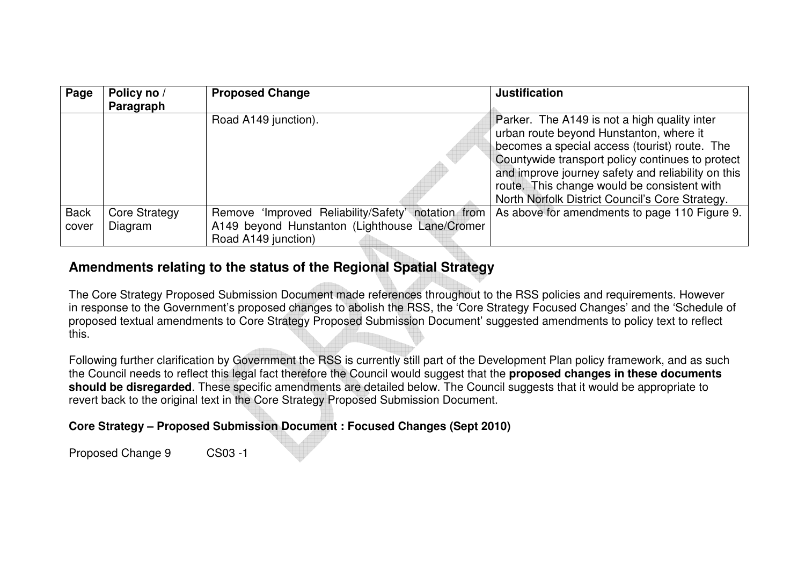| Page        | Policy no /<br>Paragraph | <b>Proposed Change</b>                             | <b>Justification</b>                                                                                                                                                                                                                                                                                                                                 |
|-------------|--------------------------|----------------------------------------------------|------------------------------------------------------------------------------------------------------------------------------------------------------------------------------------------------------------------------------------------------------------------------------------------------------------------------------------------------------|
|             |                          | Road A149 junction).                               | Parker. The A149 is not a high quality inter<br>urban route beyond Hunstanton, where it<br>becomes a special access (tourist) route. The<br>Countywide transport policy continues to protect<br>and improve journey safety and reliability on this<br>route. This change would be consistent with<br>North Norfolk District Council's Core Strategy. |
| <b>Back</b> | <b>Core Strategy</b>     | Remove 'Improved Reliability/Safety' notation from | As above for amendments to page 110 Figure 9.                                                                                                                                                                                                                                                                                                        |
| cover       | Diagram                  | A149 beyond Hunstanton (Lighthouse Lane/Cromer     |                                                                                                                                                                                                                                                                                                                                                      |
|             |                          | Road A149 junction)                                |                                                                                                                                                                                                                                                                                                                                                      |

# **Amendments relating to the status of the Regional Spatial Strategy**

The Core Strategy Proposed Submission Document made references throughout to the RSS policies and requirements. However in response to the Government's proposed changes to abolish the RSS, the 'Core Strategy Focused Changes' and the 'Schedule of proposed textual amendments to Core Strategy Proposed Submission Document' suggested amendments to policy text to reflect this.

Following further clarification by Government the RSS is currently still part of the Development Plan policy framework, and as such the Council needs to reflect this legal fact therefore the Council would suggest that the **proposed changes in these documents should be disregarded**. These specific amendments are detailed below. The Council suggests that it would be appropriate to revert back to the original text in the Core Strategy Proposed Submission Document.

### **Core Strategy – Proposed Submission Document : Focused Changes (Sept 2010)**

Proposed Change 9 CS03 -1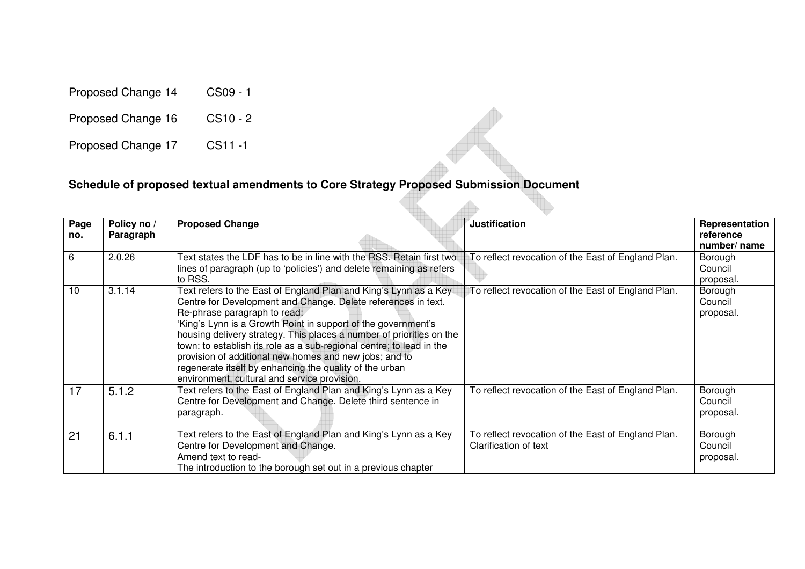Proposed Change 14 CS09 - 1

Proposed Change 16 CS10 - 2

Proposed Change 17 CS11 -1

#### **Schedule of proposed textual amendments to Core Strategy Proposed Submission Document**

| Page<br>no. | Policy no /<br>Paragraph | <b>Proposed Change</b>                                                                                                                                                                                                                                                                                                                                                                                                                                                                                                                                  | <b>Justification</b>                                                        | Representation<br>reference<br>number/name |
|-------------|--------------------------|---------------------------------------------------------------------------------------------------------------------------------------------------------------------------------------------------------------------------------------------------------------------------------------------------------------------------------------------------------------------------------------------------------------------------------------------------------------------------------------------------------------------------------------------------------|-----------------------------------------------------------------------------|--------------------------------------------|
| 6           | 2.0.26                   | Text states the LDF has to be in line with the RSS. Retain first two<br>lines of paragraph (up to 'policies') and delete remaining as refers<br>to RSS.                                                                                                                                                                                                                                                                                                                                                                                                 | To reflect revocation of the East of England Plan.                          | Borough<br>Council<br>proposal.            |
| 10          | 3.1.14                   | Text refers to the East of England Plan and King's Lynn as a Key<br>Centre for Development and Change. Delete references in text.<br>Re-phrase paragraph to read:<br>'King's Lynn is a Growth Point in support of the government's<br>housing delivery strategy. This places a number of priorities on the<br>town: to establish its role as a sub-regional centre; to lead in the<br>provision of additional new homes and new jobs; and to<br>regenerate itself by enhancing the quality of the urban<br>environment, cultural and service provision. | To reflect revocation of the East of England Plan.                          | Borough<br>Council<br>proposal.            |
| 17          | 5.1.2                    | Text refers to the East of England Plan and King's Lynn as a Key<br>Centre for Development and Change. Delete third sentence in<br>paragraph.                                                                                                                                                                                                                                                                                                                                                                                                           | To reflect revocation of the East of England Plan.                          | Borough<br>Council<br>proposal.            |
| 21          | 6.1.1                    | Text refers to the East of England Plan and King's Lynn as a Key<br>Centre for Development and Change.<br>Amend text to read-<br>The introduction to the borough set out in a previous chapter                                                                                                                                                                                                                                                                                                                                                          | To reflect revocation of the East of England Plan.<br>Clarification of text | Borough<br>Council<br>proposal.            |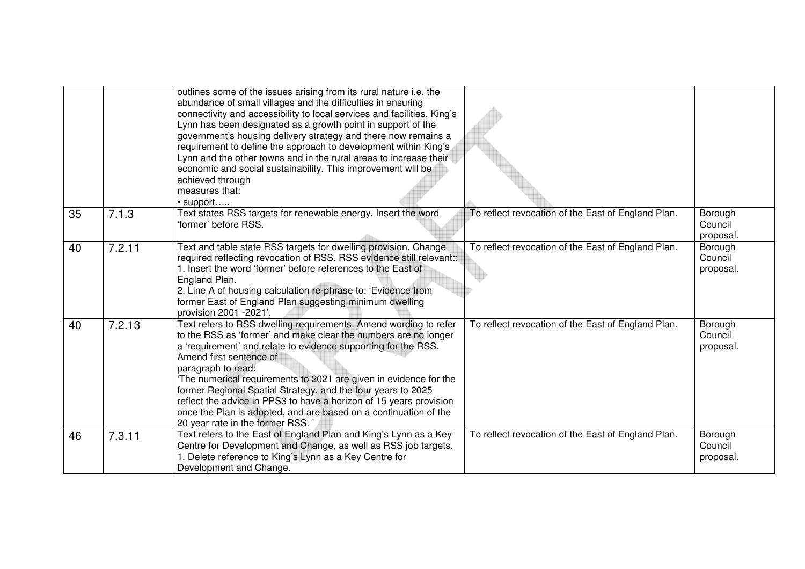|    |        | outlines some of the issues arising from its rural nature i.e. the<br>abundance of small villages and the difficulties in ensuring<br>connectivity and accessibility to local services and facilities. King's<br>Lynn has been designated as a growth point in support of the<br>government's housing delivery strategy and there now remains a<br>requirement to define the approach to development within King's<br>Lynn and the other towns and in the rural areas to increase their<br>economic and social sustainability. This improvement will be<br>achieved through<br>measures that:<br>• support |                                                    |                                 |
|----|--------|------------------------------------------------------------------------------------------------------------------------------------------------------------------------------------------------------------------------------------------------------------------------------------------------------------------------------------------------------------------------------------------------------------------------------------------------------------------------------------------------------------------------------------------------------------------------------------------------------------|----------------------------------------------------|---------------------------------|
| 35 | 7.1.3  | Text states RSS targets for renewable energy. Insert the word<br>'former' before RSS.                                                                                                                                                                                                                                                                                                                                                                                                                                                                                                                      | To reflect revocation of the East of England Plan. | Borough<br>Council<br>proposal. |
| 40 | 7.2.11 | Text and table state RSS targets for dwelling provision. Change<br>required reflecting revocation of RSS. RSS evidence still relevant::<br>1. Insert the word 'former' before references to the East of<br>England Plan.<br>2. Line A of housing calculation re-phrase to: 'Evidence from<br>former East of England Plan suggesting minimum dwelling<br>provision 2001 - 2021'.                                                                                                                                                                                                                            | To reflect revocation of the East of England Plan. | Borough<br>Council<br>proposal. |
| 40 | 7.2.13 | Text refers to RSS dwelling requirements. Amend wording to refer<br>to the RSS as 'former' and make clear the numbers are no longer<br>a 'requirement' and relate to evidence supporting for the RSS.<br>Amend first sentence of<br>paragraph to read:<br>'The numerical requirements to 2021 are given in evidence for the<br>former Regional Spatial Strategy. and the four years to 2025<br>reflect the advice in PPS3 to have a horizon of 15 years provision<br>once the Plan is adopted, and are based on a continuation of the<br>20 year rate in the former RSS.                                   | To reflect revocation of the East of England Plan. | Borough<br>Council<br>proposal. |
| 46 | 7.3.11 | Text refers to the East of England Plan and King's Lynn as a Key<br>Centre for Development and Change, as well as RSS job targets.<br>1. Delete reference to King's Lynn as a Key Centre for<br>Development and Change.                                                                                                                                                                                                                                                                                                                                                                                    | To reflect revocation of the East of England Plan. | Borough<br>Council<br>proposal. |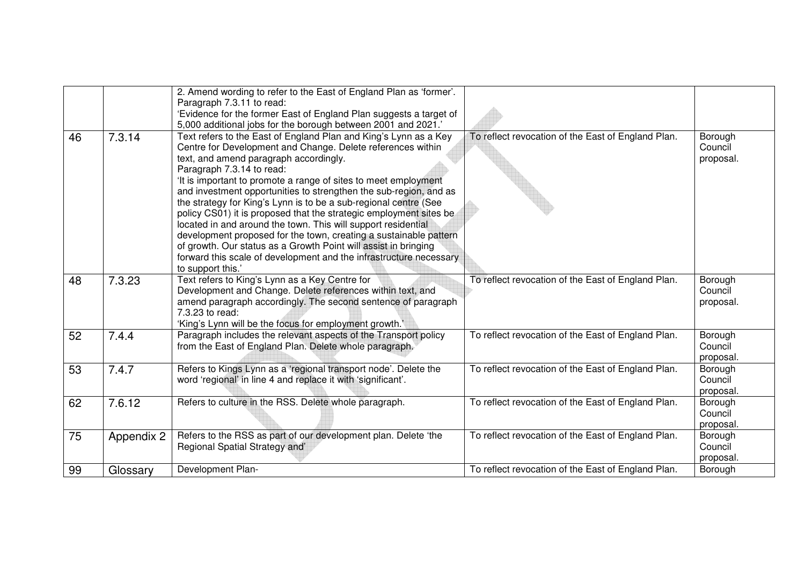|    |            | 2. Amend wording to refer to the East of England Plan as 'former'. |                                                    |                    |
|----|------------|--------------------------------------------------------------------|----------------------------------------------------|--------------------|
|    |            | Paragraph 7.3.11 to read:                                          |                                                    |                    |
|    |            | 'Evidence for the former East of England Plan suggests a target of |                                                    |                    |
|    |            | 5,000 additional jobs for the borough between 2001 and 2021.'      |                                                    |                    |
| 46 | 7.3.14     | Text refers to the East of England Plan and King's Lynn as a Key   | To reflect revocation of the East of England Plan. | Borough            |
|    |            | Centre for Development and Change. Delete references within        |                                                    | Council            |
|    |            | text, and amend paragraph accordingly.                             |                                                    | proposal.          |
|    |            | Paragraph 7.3.14 to read:                                          |                                                    |                    |
|    |            | 'It is important to promote a range of sites to meet employment    |                                                    |                    |
|    |            | and investment opportunities to strengthen the sub-region, and as  |                                                    |                    |
|    |            | the strategy for King's Lynn is to be a sub-regional centre (See   |                                                    |                    |
|    |            | policy CS01) it is proposed that the strategic employment sites be |                                                    |                    |
|    |            | located in and around the town. This will support residential      |                                                    |                    |
|    |            | development proposed for the town, creating a sustainable pattern  |                                                    |                    |
|    |            | of growth. Our status as a Growth Point will assist in bringing    |                                                    |                    |
|    |            | forward this scale of development and the infrastructure necessary |                                                    |                    |
|    |            | to support this.'                                                  |                                                    |                    |
| 48 | 7.3.23     | Text refers to King's Lynn as a Key Centre for                     | To reflect revocation of the East of England Plan. | Borough            |
|    |            | Development and Change. Delete references within text, and         |                                                    | Council            |
|    |            | amend paragraph accordingly. The second sentence of paragraph      |                                                    | proposal.          |
|    |            | 7.3.23 to read:                                                    |                                                    |                    |
|    |            | 'King's Lynn will be the focus for employment growth.'             |                                                    |                    |
| 52 | 7.4.4      | Paragraph includes the relevant aspects of the Transport policy    | To reflect revocation of the East of England Plan. | Borough            |
|    |            | from the East of England Plan. Delete whole paragraph.             |                                                    | Council            |
|    |            |                                                                    |                                                    | proposal.          |
| 53 | 7.4.7      | Refers to Kings Lynn as a 'regional transport node'. Delete the    | To reflect revocation of the East of England Plan. | Borough            |
|    |            | word 'regional' in line 4 and replace it with 'significant'.       |                                                    | Council            |
|    |            |                                                                    |                                                    | proposal.          |
| 62 | 7.6.12     | Refers to culture in the RSS. Delete whole paragraph.              | To reflect revocation of the East of England Plan. | Borough<br>Council |
|    |            |                                                                    |                                                    |                    |
|    |            |                                                                    |                                                    | proposal.          |
| 75 | Appendix 2 | Refers to the RSS as part of our development plan. Delete 'the     | To reflect revocation of the East of England Plan. | Borough            |
|    |            | Regional Spatial Strategy and'                                     |                                                    | Council            |
|    |            |                                                                    |                                                    | proposal.          |
| 99 | Glossary   | Development Plan-                                                  | To reflect revocation of the East of England Plan. | Borough            |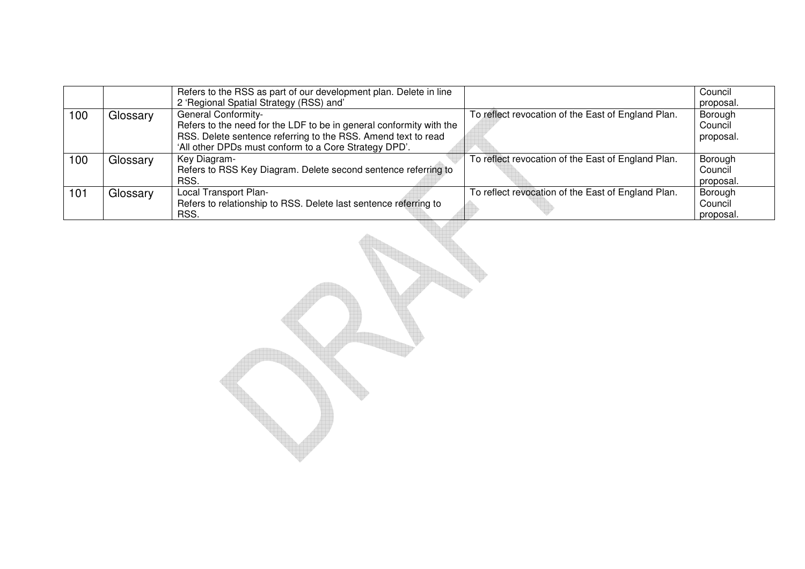|     |          | Refers to the RSS as part of our development plan. Delete in line<br>2 'Regional Spatial Strategy (RSS) and'                                                                                                                |                                                    | Council<br>proposal.            |
|-----|----------|-----------------------------------------------------------------------------------------------------------------------------------------------------------------------------------------------------------------------------|----------------------------------------------------|---------------------------------|
| 100 | Glossary | <b>General Conformity-</b><br>Refers to the need for the LDF to be in general conformity with the<br>RSS. Delete sentence referring to the RSS. Amend text to read<br>'All other DPDs must conform to a Core Strategy DPD'. | To reflect revocation of the East of England Plan. | Borough<br>Council<br>proposal. |
| 100 | Glossary | Key Diagram-<br>Refers to RSS Key Diagram. Delete second sentence referring to<br>RSS.                                                                                                                                      | To reflect revocation of the East of England Plan. | Borough<br>Council<br>proposal. |
| 101 | Glossary | Local Transport Plan-<br>Refers to relationship to RSS. Delete last sentence referring to<br>RSS.                                                                                                                           | To reflect revocation of the East of England Plan. | Borough<br>Council<br>proposal. |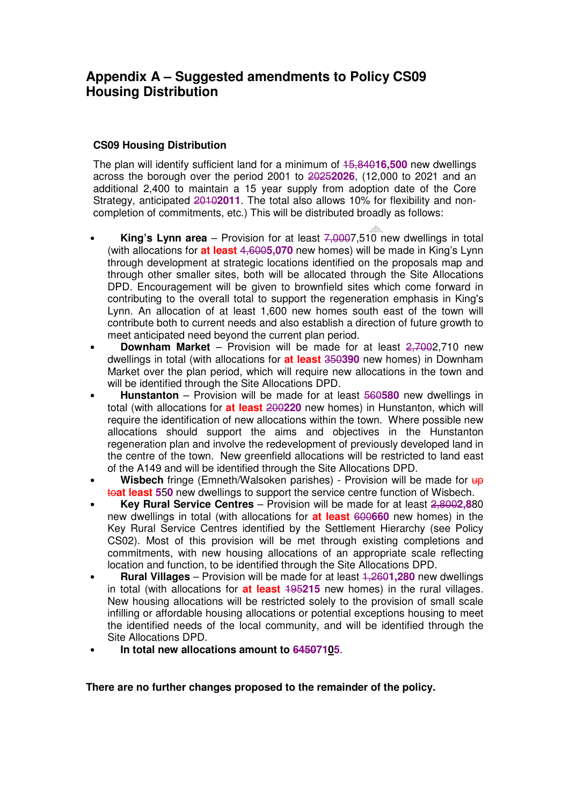# **Appendix A – Suggested amendments to Policy CS09 Housing Distribution**

#### **CS09 Housing Distribution**

The plan will identify sufficient land for a minimum of 15,840**16,500** new dwellings across the borough over the period 2001 to 2025**2026**, (12,000 to 2021 and an additional 2,400 to maintain a 15 year supply from adoption date of the Core Strategy, anticipated 2010**2011**. The total also allows 10% for flexibility and noncompletion of commitments, etc.) This will be distributed broadly as follows:

- **King's Lynn area**  Provision for at least 7,0007,510 new dwellings in total (with allocations for **at least** 4,600**5,070** new homes) will be made in King's Lynn through development at strategic locations identified on the proposals map and through other smaller sites, both will be allocated through the Site Allocations DPD. Encouragement will be given to brownfield sites which come forward in contributing to the overall total to support the regeneration emphasis in King's Lynn. An allocation of at least 1,600 new homes south east of the town will contribute both to current needs and also establish a direction of future growth to meet anticipated need beyond the current plan period.
- **Downham Market** Provision will be made for at least 2,7002,710 new dwellings in total (with allocations for **at least** 350**390** new homes) in Downham Market over the plan period, which will require new allocations in the town and will be identified through the Site Allocations DPD.
- **Hunstanton** Provision will be made for at least 560**580** new dwellings in total (with allocations for **at least** 200**220** new homes) in Hunstanton, which will require the identification of new allocations within the town. Where possible new allocations should support the aims and objectives in the Hunstanton regeneration plan and involve the redevelopment of previously developed land in the centre of the town. New greenfield allocations will be restricted to land east of the A149 and will be identified through the Site Allocations DPD.
- **Wisbech** fringe (Emneth/Walsoken parishes) Provision will be made for  $\theta$ to**at least 5**5**0** new dwellings to support the service centre function of Wisbech.
- **Key Rural Service Centres** Provision will be made for at least 2,800**2,8**80 new dwellings in total (with allocations for **at least** 600**660** new homes) in the Key Rural Service Centres identified by the Settlement Hierarchy (see Policy CS02). Most of this provision will be met through existing completions and commitments, with new housing allocations of an appropriate scale reflecting location and function, to be identified through the Site Allocations DPD.
- **Rural Villages** Provision will be made for at least 1,260**1,280** new dwellings in total (with allocations for **at least** 195**215** new homes) in the rural villages. New housing allocations will be restricted solely to the provision of small scale infilling or affordable housing allocations or potential exceptions housing to meet the identified needs of the local community, and will be identified through the Site Allocations DPD.
- **In total new allocations amount to 64507105**.

**There are no further changes proposed to the remainder of the policy.**